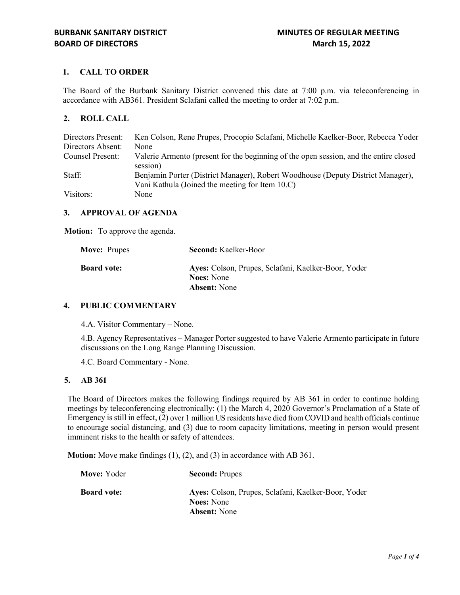# **1. CALL TO ORDER**

The Board of the Burbank Sanitary District convened this date at 7:00 p.m. via teleconferencing in accordance with AB361. President Sclafani called the meeting to order at 7:02 p.m.

## **2. ROLL CALL**

| Directors Present: | Ken Colson, Rene Prupes, Procopio Sclafani, Michelle Kaelker-Boor, Rebecca Yoder                                                   |
|--------------------|------------------------------------------------------------------------------------------------------------------------------------|
| Directors Absent:  | None                                                                                                                               |
| Counsel Present:   | Valerie Armento (present for the beginning of the open session, and the entire closed<br>session)                                  |
| Staff:             | Benjamin Porter (District Manager), Robert Woodhouse (Deputy District Manager),<br>Vani Kathula (Joined the meeting for Item 10.C) |
| Visitors:          | None                                                                                                                               |

## **3. APPROVAL OF AGENDA**

**Motion:** To approve the agenda.

| <b>Move: Prupes</b> | <b>Second: Kaelker-Boor</b>                                              |
|---------------------|--------------------------------------------------------------------------|
| <b>Board vote:</b>  | Ayes: Colson, Prupes, Sclafani, Kaelker-Boor, Yoder<br><b>Noes:</b> None |
|                     | <b>Absent:</b> None                                                      |

## **4. PUBLIC COMMENTARY**

4.A. Visitor Commentary – None.

4.B. Agency Representatives – Manager Porter suggested to have Valerie Armento participate in future discussions on the Long Range Planning Discussion.

4.C. Board Commentary - None.

### **5. AB 361**

The Board of Directors makes the following findings required by AB 361 in order to continue holding meetings by teleconferencing electronically: (1) the March 4, 2020 Governor's Proclamation of a State of Emergency is still in effect, (2) over 1 million US residents have died from COVID and health officials continue to encourage social distancing, and (3) due to room capacity limitations, meeting in person would present imminent risks to the health or safety of attendees.

**Motion:** Move make findings (1), (2), and (3) in accordance with AB 361.

| Move: Yoder        | <b>Second: Prupes</b>                                                                           |
|--------------------|-------------------------------------------------------------------------------------------------|
| <b>Board vote:</b> | Ayes: Colson, Prupes, Sclafani, Kaelker-Boor, Yoder<br><b>Noes:</b> None<br><b>Absent:</b> None |
|                    |                                                                                                 |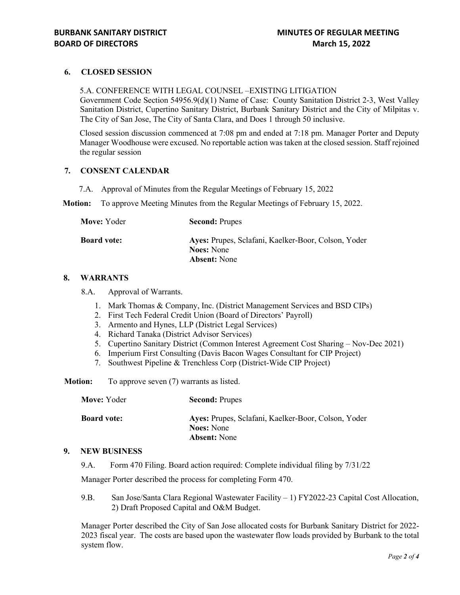# **6. CLOSED SESSION**

5.A. CONFERENCE WITH LEGAL COUNSEL –EXISTING LITIGATION Government Code Section 54956.9(d)(1) Name of Case: County Sanitation District 2-3, West Valley Sanitation District, Cupertino Sanitary District, Burbank Sanitary District and the City of Milpitas v. The City of San Jose, The City of Santa Clara, and Does 1 through 50 inclusive.

Closed session discussion commenced at 7:08 pm and ended at 7:18 pm. Manager Porter and Deputy Manager Woodhouse were excused. No reportable action was taken at the closed session. Staff rejoined the regular session

### **7. CONSENT CALENDAR**

7.A. Approval of Minutes from the Regular Meetings of February 15, 2022

**Motion:** To approve Meeting Minutes from the Regular Meetings of February 15, 2022.

| Move: Yoder        | <b>Second: Prupes</b>                                                    |
|--------------------|--------------------------------------------------------------------------|
| <b>Board vote:</b> | Ayes: Prupes, Sclafani, Kaelker-Boor, Colson, Yoder<br><b>Noes:</b> None |
|                    | <b>Absent:</b> None                                                      |

### **8. WARRANTS**

8.A. Approval of Warrants.

- 1. Mark Thomas & Company, Inc. (District Management Services and BSD CIPs)
- 2. First Tech Federal Credit Union (Board of Directors' Payroll)
- 3. Armento and Hynes, LLP (District Legal Services)
- 4. Richard Tanaka (District Advisor Services)
- 5. Cupertino Sanitary District (Common Interest Agreement Cost Sharing Nov-Dec 2021)
- 6. Imperium First Consulting (Davis Bacon Wages Consultant for CIP Project)
- 7. Southwest Pipeline & Trenchless Corp (District-Wide CIP Project)

**Motion:** To approve seven (7) warrants as listed.

| Move: Yoder        | <b>Second: Prupes</b>                                                    |
|--------------------|--------------------------------------------------------------------------|
| <b>Board vote:</b> | Ayes: Prupes, Sclafani, Kaelker-Boor, Colson, Yoder<br><b>Noes:</b> None |
|                    | <b>Absent:</b> None                                                      |

## **9. NEW BUSINESS**

9.A. Form 470 Filing. Board action required: Complete individual filing by 7/31/22

Manager Porter described the process for completing Form 470.

9.B. San Jose/Santa Clara Regional Wastewater Facility – 1) FY2022-23 Capital Cost Allocation, 2) Draft Proposed Capital and O&M Budget.

Manager Porter described the City of San Jose allocated costs for Burbank Sanitary District for 2022- 2023 fiscal year. The costs are based upon the wastewater flow loads provided by Burbank to the total system flow.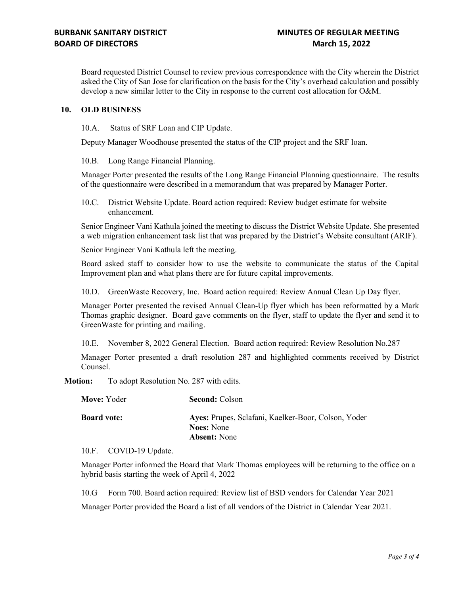Board requested District Counsel to review previous correspondence with the City wherein the District asked the City of San Jose for clarification on the basis for the City's overhead calculation and possibly develop a new similar letter to the City in response to the current cost allocation for O&M.

### **10. OLD BUSINESS**

10.A. Status of SRF Loan and CIP Update.

Deputy Manager Woodhouse presented the status of the CIP project and the SRF loan.

10.B. Long Range Financial Planning.

Manager Porter presented the results of the Long Range Financial Planning questionnaire. The results of the questionnaire were described in a memorandum that was prepared by Manager Porter.

10.C. District Website Update. Board action required: Review budget estimate for website enhancement.

Senior Engineer Vani Kathula joined the meeting to discuss the District Website Update. She presented a web migration enhancement task list that was prepared by the District's Website consultant (ARIF).

Senior Engineer Vani Kathula left the meeting.

Board asked staff to consider how to use the website to communicate the status of the Capital Improvement plan and what plans there are for future capital improvements.

10.D. GreenWaste Recovery, Inc. Board action required: Review Annual Clean Up Day flyer.

Manager Porter presented the revised Annual Clean-Up flyer which has been reformatted by a Mark Thomas graphic designer. Board gave comments on the flyer, staff to update the flyer and send it to GreenWaste for printing and mailing.

10.E. November 8, 2022 General Election. Board action required: Review Resolution No.287

Manager Porter presented a draft resolution 287 and highlighted comments received by District Counsel.

**Motion:** To adopt Resolution No. 287 with edits.

| Move: Yoder        | <b>Second: Colson</b>                                                                           |
|--------------------|-------------------------------------------------------------------------------------------------|
| <b>Board vote:</b> | Ayes: Prupes, Sclafani, Kaelker-Boor, Colson, Yoder<br><b>Noes:</b> None<br><b>Absent:</b> None |
|                    |                                                                                                 |

10.F. COVID-19 Update.

Manager Porter informed the Board that Mark Thomas employees will be returning to the office on a hybrid basis starting the week of April 4, 2022

10.G Form 700. Board action required: Review list of BSD vendors for Calendar Year 2021

Manager Porter provided the Board a list of all vendors of the District in Calendar Year 2021.